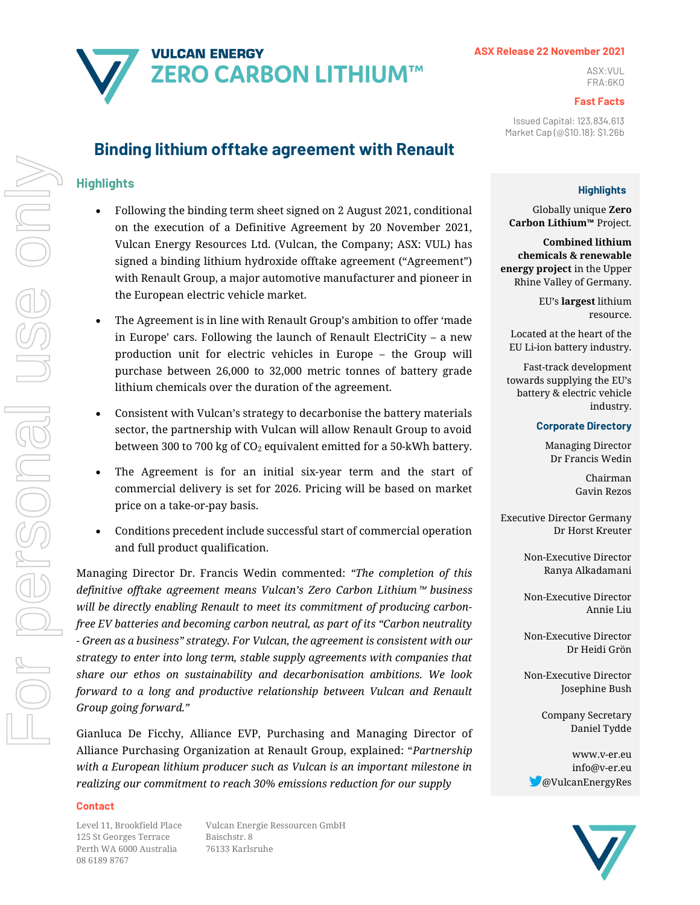# **VULCAN ENERGY**  $\mathbf{A} \cap \mathbf{A}$   $\mathbf{D} \cap \mathbf{A}$   $\mathbf{D} \cap \mathbf{A}$   $\mathbf{D} \cap \mathbf{A}$   $\mathbf{D} \cap \mathbf{A}$ FRA:6KO

## ASX Release 22 November 2021

### Fast Facts

Issued Capital: 123,834,613 Market Cap (@\$10.18): \$1.26b

# **Highlights**

Globally unique Zero Carbon Lithium™ Project.

Combined lithium chemicals & renewable energy project in the Upper Rhine Valley of Germany.

> EU's largest lithium resource.

Located at the heart of the EU Li-ion battery industry.

Fast-track development towards supplying the EU's battery & electric vehicle industry.

## Corporate Directory

Managing Director Dr Francis Wedin

> Chairman Gavin Rezos

Executive Director Germany Dr Horst Kreuter

> Non-Executive Director Ranya Alkadamani

> Non-Executive Director Annie Liu

> Non-Executive Director Dr Heidi Grön

> Non-Executive Director Josephine Bush

> > Company Secretary Daniel Tydde

www.v-er.eu info@v-er.eu @VulcanEnergyRes



# Binding lithium offtake agreement with Renault

# **Highlights**

- Following the binding term sheet signed on 2 August 2021, conditional on the execution of a Definitive Agreement by 20 November 2021, Vulcan Energy Resources Ltd. (Vulcan, the Company; ASX: VUL) has signed a binding lithium hydroxide offtake agreement ("Agreement") with Renault Group, a major automotive manufacturer and pioneer in the European electric vehicle market.
- The Agreement is in line with Renault Group's ambition to offer 'made in Europe' cars. Following the launch of Renault ElectriCity – a new production unit for electric vehicles in Europe – the Group will purchase between 26,000 to 32,000 metric tonnes of battery grade lithium chemicals over the duration of the agreement.
- Consistent with Vulcan's strategy to decarbonise the battery materials sector, the partnership with Vulcan will allow Renault Group to avoid between 300 to 700 kg of  $CO<sub>2</sub>$  equivalent emitted for a 50-kWh battery.
- The Agreement is for an initial six-year term and the start of commercial delivery is set for 2026. Pricing will be based on market price on a take-or-pay basis.
- Conditions precedent include successful start of commercial operation and full product qualification.

Managing Director Dr. Francis Wedin commented: "The completion of this definitive offtake agreement means Vulcan's Zero Carbon Lithium™ business will be directly enabling Renault to meet its commitment of producing carbonfree EV batteries and becoming carbon neutral, as part of its "Carbon neutrality - Green as a business" strategy. For Vulcan, the agreement is consistent with our strategy to enter into long term, stable supply agreements with companies that share our ethos on sustainability and decarbonisation ambitions. We look forward to a long and productive relationship between Vulcan and Renault Group going forward."

Gianluca De Ficchy, Alliance EVP, Purchasing and Managing Director of Alliance Purchasing Organization at Renault Group, explained: "Partnership with a European lithium producer such as Vulcan is an important milestone in realizing our commitment to reach 30% emissions reduction for our supply

#### Contact

125 St Georges Terrace Baischstr. 8 Perth WA 6000 Australia 76133 Karlsruhe 08 6189 8767

Level 11, Brookfield Place Vulcan Energie Ressourcen GmbH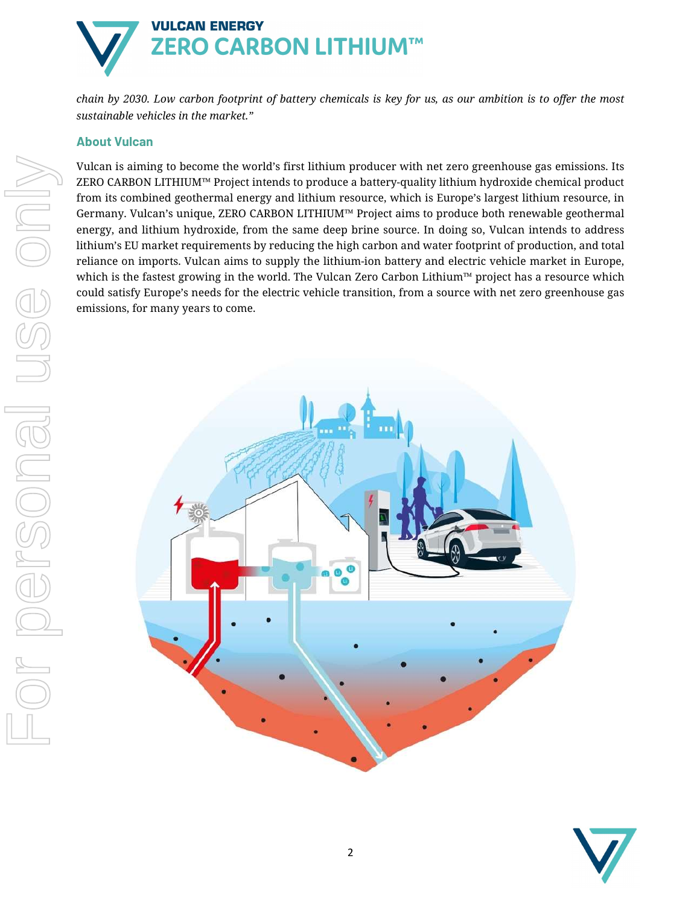

chain by 2030. Low carbon footprint of battery chemicals is key for us, as our ambition is to offer the most sustainable vehicles in the market."

# About Vulcan

Vulcan is aiming to become the world's first lithium producer with net zero greenhouse gas emissions. Its ZERO CARBON LITHIUM™ Project intends to produce a battery-quality lithium hydroxide chemical product from its combined geothermal energy and lithium resource, which is Europe's largest lithium resource, in Germany. Vulcan's unique, ZERO CARBON LITHIUM™ Project aims to produce both renewable geothermal energy, and lithium hydroxide, from the same deep brine source. In doing so, Vulcan intends to address lithium's EU market requirements by reducing the high carbon and water footprint of production, and total reliance on imports. Vulcan aims to supply the lithium-ion battery and electric vehicle market in Europe, which is the fastest growing in the world. The Vulcan Zero Carbon Lithium™ project has a resource which could satisfy Europe's needs for the electric vehicle transition, from a source with net zero greenhouse gas emissions, for many years to come.



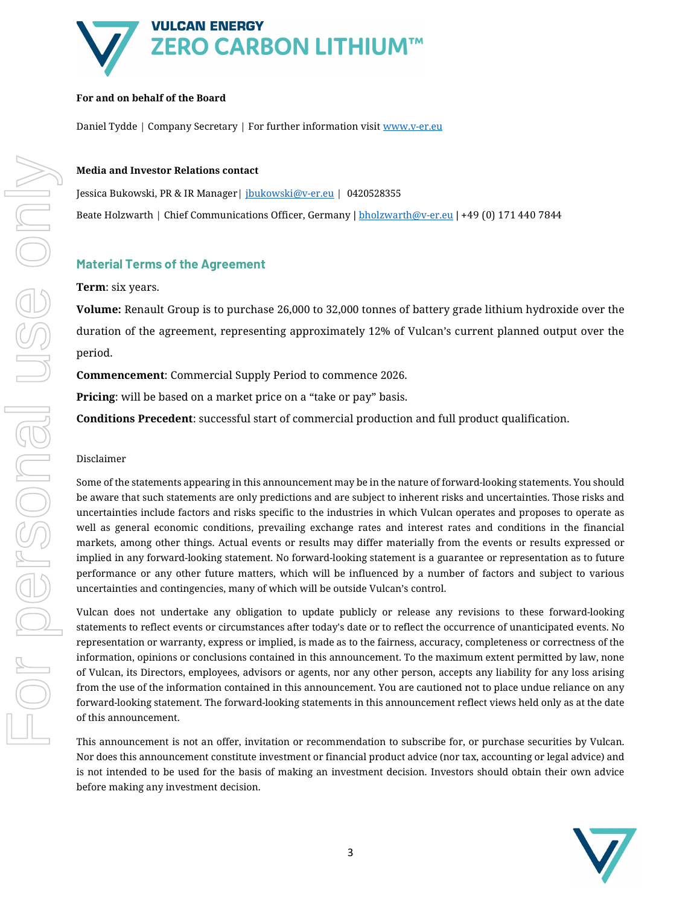

# For and on behalf of the Board

Daniel Tydde | Company Secretary | For further information visit www.v-er.eu

## Media and Investor Relations contact

Jessica Bukowski, PR & IR Manager | jbukowski@v-er.eu | 0420528355 Beate Holzwarth | Chief Communications Officer, Germany | bholzwarth@v-er.eu | +49 (0) 171 440 7844

# Material Terms of the Agreement

## Term: six years.

Volume: Renault Group is to purchase 26,000 to 32,000 tonnes of battery grade lithium hydroxide over the duration of the agreement, representing approximately 12% of Vulcan's current planned output over the period.

Commencement: Commercial Supply Period to commence 2026.

Pricing: will be based on a market price on a "take or pay" basis.

Conditions Precedent: successful start of commercial production and full product qualification.

## Disclaimer

Some of the statements appearing in this announcement may be in the nature of forward-looking statements. You should be aware that such statements are only predictions and are subject to inherent risks and uncertainties. Those risks and uncertainties include factors and risks specific to the industries in which Vulcan operates and proposes to operate as well as general economic conditions, prevailing exchange rates and interest rates and conditions in the financial markets, among other things. Actual events or results may differ materially from the events or results expressed or implied in any forward-looking statement. No forward-looking statement is a guarantee or representation as to future performance or any other future matters, which will be influenced by a number of factors and subject to various uncertainties and contingencies, many of which will be outside Vulcan's control.

Vulcan does not undertake any obligation to update publicly or release any revisions to these forward-looking statements to reflect events or circumstances after today's date or to reflect the occurrence of unanticipated events. No representation or warranty, express or implied, is made as to the fairness, accuracy, completeness or correctness of the information, opinions or conclusions contained in this announcement. To the maximum extent permitted by law, none of Vulcan, its Directors, employees, advisors or agents, nor any other person, accepts any liability for any loss arising from the use of the information contained in this announcement. You are cautioned not to place undue reliance on any forward-looking statement. The forward-looking statements in this announcement reflect views held only as at the date of this announcement.

This announcement is not an offer, invitation or recommendation to subscribe for, or purchase securities by Vulcan. Nor does this announcement constitute investment or financial product advice (nor tax, accounting or legal advice) and is not intended to be used for the basis of making an investment decision. Investors should obtain their own advice before making any investment decision.